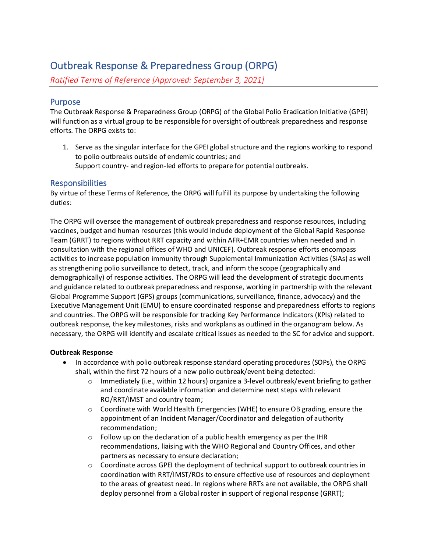# Outbreak Response & Preparedness Group (ORPG)

*Ratified Terms of Reference [Approved: September 3, 2021]*

# Purpose

The Outbreak Response & Preparedness Group (ORPG) of the Global Polio Eradication Initiative (GPEI) will function as a virtual group to be responsible for oversight of outbreak preparedness and response efforts. The ORPG exists to:

1. Serve as the singular interface for the GPEI global structure and the regions working to respond to polio outbreaks outside of endemic countries; and Support country- and region-led efforts to prepare for potential outbreaks.

# Responsibilities

By virtue of these Terms of Reference, the ORPG will fulfill its purpose by undertaking the following duties:

The ORPG will oversee the management of outbreak preparedness and response resources, including vaccines, budget and human resources (this would include deployment of the Global Rapid Response Team (GRRT) to regions without RRT capacity and within AFR+EMR countries when needed and in consultation with the regional offices of WHO and UNICEF). Outbreak response efforts encompass activities to increase population immunity through Supplemental Immunization Activities (SIAs) as well as strengthening polio surveillance to detect, track, and inform the scope (geographically and demographically) of response activities. The ORPG will lead the development of strategic documents and guidance related to outbreak preparedness and response, working in partnership with the relevant Global Programme Support (GPS) groups (communications, surveillance, finance, advocacy) and the Executive Management Unit (EMU) to ensure coordinated response and preparedness efforts to regions and countries. The ORPG will be responsible for tracking Key Performance Indicators (KPIs) related to outbreak response, the key milestones, risks and workplans as outlined in the organogram below. As necessary, the ORPG will identify and escalate critical issues as needed to the SC for advice and support.

# **Outbreak Response**

- In accordance with polio outbreak response standard operating procedures (SOPs), the ORPG shall, within the first 72 hours of a new polio outbreak/event being detected:
	- $\circ$  Immediately (i.e., within 12 hours) organize a 3-level outbreak/event briefing to gather and coordinate available information and determine next steps with relevant RO/RRT/IMST and country team;
	- $\circ$  Coordinate with World Health Emergencies (WHE) to ensure OB grading, ensure the appointment of an Incident Manager/Coordinator and delegation of authority recommendation;
	- o Follow up on the declaration of a public health emergency as per the IHR recommendations, liaising with the WHO Regional and Country Offices, and other partners as necessary to ensure declaration;
	- $\circ$  Coordinate across GPEI the deployment of technical support to outbreak countries in coordination with RRT/IMST/ROs to ensure effective use of resources and deployment to the areas of greatest need. In regions where RRTs are not available, the ORPG shall deploy personnel from a Global roster in support of regional response (GRRT);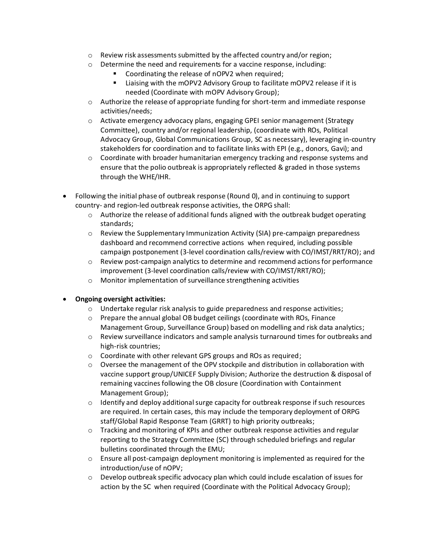- $\circ$  Review risk assessments submitted by the affected country and/or region;
- o Determine the need and requirements for a vaccine response, including:
	- Coordinating the release of nOPV2 when required;
	- Liaising with the mOPV2 Advisory Group to facilitate mOPV2 release if it is needed (Coordinate with mOPV Advisory Group);
- $\circ$  Authorize the release of appropriate funding for short-term and immediate response activities/needs;
- o Activate emergency advocacy plans, engaging GPEI senior management (Strategy Committee), country and/or regional leadership, (coordinate with ROs, Political Advocacy Group, Global Communications Group, SC as necessary), leveraging in-country stakeholders for coordination and to facilitate links with EPI (e.g., donors, Gavi); and
- $\circ$  Coordinate with broader humanitarian emergency tracking and response systems and ensure that the polio outbreak is appropriately reflected & graded in those systems through the WHE/IHR.
- Following the initial phase of outbreak response (Round 0), and in continuing to support country- and region-led outbreak response activities, the ORPG shall:
	- $\circ$  Authorize the release of additional funds aligned with the outbreak budget operating standards;
	- o Review the Supplementary Immunization Activity (SIA) pre-campaign preparedness dashboard and recommend corrective actions when required, including possible campaign postponement (3-level coordination calls/review with CO/IMST/RRT/RO); and
	- $\circ$  Review post-campaign analytics to determine and recommend actions for performance improvement (3-level coordination calls/review with CO/IMST/RRT/RO);
	- o Monitor implementation of surveillance strengthening activities
- **Ongoing oversight activities:**
	- $\circ$  Undertake regular risk analysis to guide preparedness and response activities;
	- o Prepare the annual global OB budget ceilings (coordinate with ROs, Finance Management Group, Surveillance Group) based on modelling and risk data analytics;
	- $\circ$  Review surveillance indicators and sample analysis turnaround times for outbreaks and high-risk countries;
	- o Coordinate with other relevant GPS groups and ROs as required;
	- $\circ$  Oversee the management of the OPV stockpile and distribution in collaboration with vaccine support group/UNICEF Supply Division; Authorize the destruction & disposal of remaining vaccines following the OB closure (Coordination with Containment Management Group);
	- $\circ$  Identify and deploy additional surge capacity for outbreak response if such resources are required. In certain cases, this may include the temporary deployment of ORPG staff/Global Rapid Response Team (GRRT) to high priority outbreaks;
	- $\circ$  Tracking and monitoring of KPIs and other outbreak response activities and regular reporting to the Strategy Committee (SC) through scheduled briefings and regular bulletins coordinated through the EMU;
	- $\circ$  Ensure all post-campaign deployment monitoring is implemented as required for the introduction/use of nOPV;
	- $\circ$  Develop outbreak specific advocacy plan which could include escalation of issues for action by the SC when required (Coordinate with the Political Advocacy Group);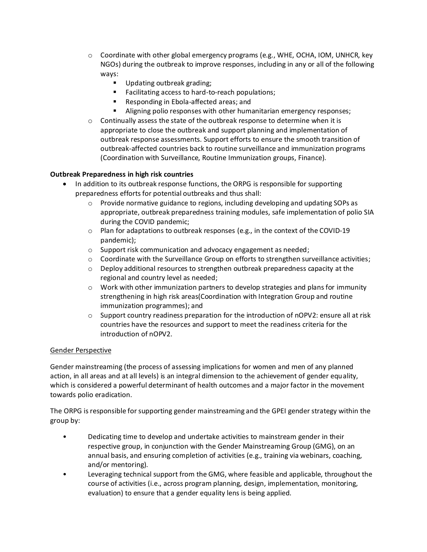- $\circ$  Coordinate with other global emergency programs (e.g., WHE, OCHA, IOM, UNHCR, key NGOs) during the outbreak to improve responses, including in any or all of the following ways:
	- Updating outbreak grading;
	- Facilitating access to hard-to-reach populations;
	- Responding in Ebola-affected areas; and
	- Aligning polio responses with other humanitarian emergency responses;
- $\circ$  Continually assess the state of the outbreak response to determine when it is appropriate to close the outbreak and support planning and implementation of outbreak response assessments. Support efforts to ensure the smooth transition of outbreak-affected countries back to routine surveillance and immunization programs (Coordination with Surveillance, Routine Immunization groups, Finance).

### **Outbreak Preparedness in high risk countries**

- In addition to its outbreak response functions, the ORPG is responsible for supporting preparedness efforts for potential outbreaks and thus shall:
	- $\circ$  Provide normative guidance to regions, including developing and updating SOPs as appropriate, outbreak preparedness training modules, safe implementation of polio SIA during the COVID pandemic;
	- $\circ$  Plan for adaptations to outbreak responses (e.g., in the context of the COVID-19 pandemic);
	- o Support risk communication and advocacy engagement as needed;
	- $\circ$  Coordinate with the Surveillance Group on efforts to strengthen surveillance activities;
	- $\circ$  Deploy additional resources to strengthen outbreak preparedness capacity at the regional and country level as needed;
	- $\circ$  Work with other immunization partners to develop strategies and plans for immunity strengthening in high risk areas(Coordination with Integration Group and routine immunization programmes); and
	- $\circ$  Support country readiness preparation for the introduction of nOPV2: ensure all at risk countries have the resources and support to meet the readiness criteria for the introduction of nOPV2.

#### Gender Perspective

Gender mainstreaming (the process of assessing implications for women and men of any planned action, in all areas and at all levels) is an integral dimension to the achievement of gender equality, which is considered a powerful determinant of health outcomes and a major factor in the movement towards polio eradication.

The ORPG is responsible for supporting gender mainstreaming and the GPEI gender strategy within the group by:

- Dedicating time to develop and undertake activities to mainstream gender in their respective group, in conjunction with the Gender Mainstreaming Group (GMG), on an annual basis, and ensuring completion of activities (e.g., training via webinars, coaching, and/or mentoring).
- Leveraging technical support from the GMG, where feasible and applicable, throughout the course of activities (i.e., across program planning, design, implementation, monitoring, evaluation) to ensure that a gender equality lens is being applied.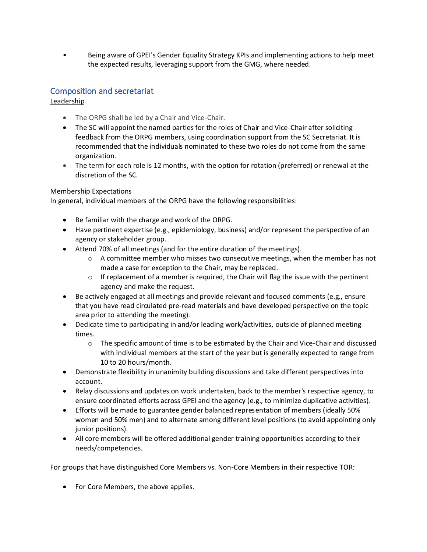• Being aware of GPEI's Gender Equality Strategy KPIs and implementing actions to help meet the expected results, leveraging support from the GMG, where needed.

# Composition and secretariat

Leadership

- The ORPG shall be led by a Chair and Vice-Chair.
- The SC will appoint the named parties for the roles of Chair and Vice-Chair after soliciting feedback from the ORPG members, using coordination support from the SC Secretariat. It is recommended that the individuals nominated to these two roles do not come from the same organization.
- The term for each role is 12 months, with the option for rotation (preferred) or renewal at the discretion of the SC.

#### Membership Expectations

In general, individual members of the ORPG have the following responsibilities:

- Be familiar with the charge and work of the ORPG.
- Have pertinent expertise (e.g., epidemiology, business) and/or represent the perspective of an agency or stakeholder group.
- Attend 70% of all meetings (and for the entire duration of the meetings).
	- $\circ$  A committee member who misses two consecutive meetings, when the member has not made a case for exception to the Chair, may be replaced.
	- $\circ$  If replacement of a member is required, the Chair will flag the issue with the pertinent agency and make the request.
- Be actively engaged at all meetings and provide relevant and focused comments (e.g., ensure that you have read circulated pre-read materials and have developed perspective on the topic area prior to attending the meeting).
- Dedicate time to participating in and/or leading work/activities, outside of planned meeting times.
	- $\circ$  The specific amount of time is to be estimated by the Chair and Vice-Chair and discussed with individual members at the start of the year but is generally expected to range from 10 to 20 hours/month.
- Demonstrate flexibility in unanimity building discussions and take different perspectives into account.
- Relay discussions and updates on work undertaken, back to the member's respective agency, to ensure coordinated efforts across GPEI and the agency (e.g., to minimize duplicative activities).
- Efforts will be made to guarantee gender balanced representation of members (ideally 50% women and 50% men) and to alternate among different level positions (to avoid appointing only junior positions).
- All core members will be offered additional gender training opportunities according to their needs/competencies.

For groups that have distinguished Core Members vs. Non-Core Members in their respective TOR:

• For Core Members, the above applies.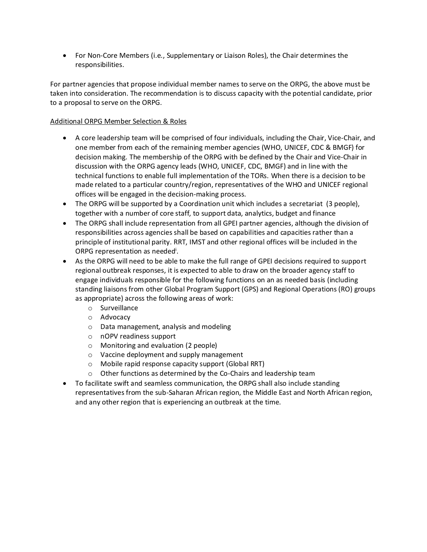• For Non-Core Members (i.e., Supplementary or Liaison Roles), the Chair determines the responsibilities.

For partner agencies that propose individual member names to serve on the ORPG, the above must be taken into consideration. The recommendation is to discuss capacity with the potential candidate, prior to a proposal to serve on the ORPG.

### Additional ORPG Member Selection & Roles

- A core leadership team will be comprised of four individuals, including the Chair, Vice-Chair, and one member from each of the remaining member agencies (WHO, UNICEF, CDC & BMGF) for decision making. The membership of the ORPG with be defined by the Chair and Vice-Chair in discussion with the ORPG agency leads (WHO, UNICEF, CDC, BMGF) and in line with the technical functions to enable full implementation of the TORs. When there is a decision to be made related to a particular country/region, representatives of the WHO and UNICEF regional offices will be engaged in the decision-making process.
- The ORPG will be supported by a Coordination unit which includes a secretariat (3 people), together with a number of core staff, to support data, analytics, budget and finance
- The ORPG shall include representation from all GPEI partner agencies, although the division of responsibilities across agencies shall be based on capabilities and capacities rather than a principle of institutional parity. RRT, IMST and other regional offices will be included in the ORPG representation as needed<sup>i</sup>.
- As the ORPG will need to be able to make the full range of GPEI decisions required to support regional outbreak responses, it is expected to able to draw on the broader agency staff to engage individuals responsible for the following functions on an as needed basis (including standing liaisons from other Global Program Support (GPS) and Regional Operations (RO) groups as appropriate) across the following areas of work:
	- o Surveillance
	- o Advocacy
	- o Data management, analysis and modeling
	- o nOPV readiness support
	- o Monitoring and evaluation (2 people)
	- o Vaccine deployment and supply management
	- o Mobile rapid response capacity support (Global RRT)
	- o Other functions as determined by the Co-Chairs and leadership team
- To facilitate swift and seamless communication, the ORPG shall also include standing representatives from the sub-Saharan African region, the Middle East and North African region, and any other region that is experiencing an outbreak at the time.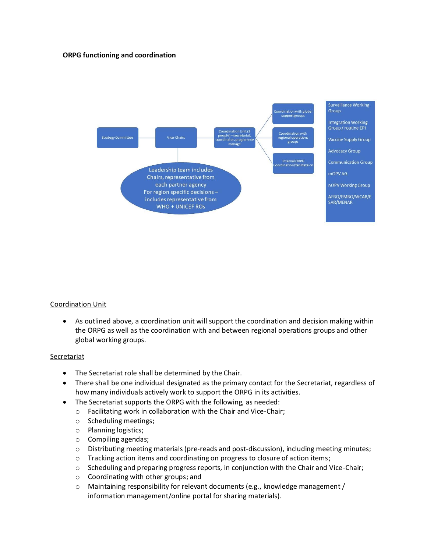#### **ORPG functioning and coordination**



#### Coordination Unit

• As outlined above, a coordination unit will support the coordination and decision making within the ORPG as well as the coordination with and between regional operations groups and other global working groups.

#### **Secretariat**

- The Secretariat role shall be determined by the Chair.
- There shall be one individual designated as the primary contact for the Secretariat, regardless of how many individuals actively work to support the ORPG in its activities.
- The Secretariat supports the ORPG with the following, as needed:
	- o Facilitating work in collaboration with the Chair and Vice-Chair;
	- o Scheduling meetings;
	- o Planning logistics;
	- o Compiling agendas;
	- o Distributing meeting materials (pre-reads and post-discussion), including meeting minutes;
	- o Tracking action items and coordinating on progress to closure of action items;
	- o Scheduling and preparing progress reports, in conjunction with the Chair and Vice-Chair;
	- o Coordinating with other groups; and
	- $\circ$  Maintaining responsibility for relevant documents (e.g., knowledge management / information management/online portal for sharing materials).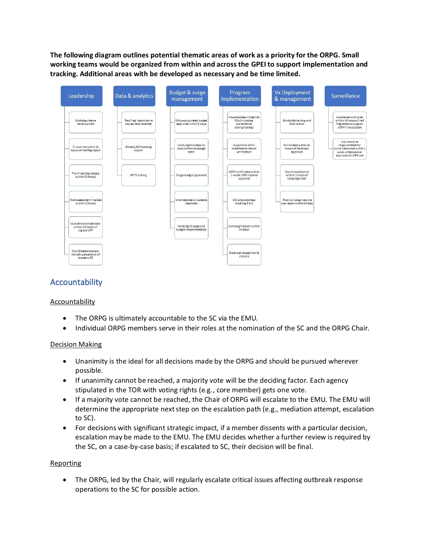**The following diagram outlines potential thematic areas of work as a priority for the ORPG. Small working teams would be organized from within and across the GPEI to support implementation and tracking. Additional areas with be developed as necessary and be time limited.**



# Accountability

#### Accountability

- The ORPG is ultimately accountable to the SC via the EMU.
- Individual ORPG members serve in their roles at the nomination of the SC and the ORPG Chair.

#### Decision Making

- Unanimity is the ideal for all decisions made by the ORPG and should be pursued wherever possible.
- If unanimity cannot be reached, a majority vote will be the deciding factor. Each agency stipulated in the TOR with voting rights (e.g., core member) gets one vote.
- If a majority vote cannot be reached, the Chair of ORPG will escalate to the EMU. The EMU will determine the appropriate next step on the escalation path (e.g., mediation attempt, escalation to SC).
- For decisions with significant strategic impact, if a member dissents with a particular decision, escalation may be made to the EMU. The EMU decides whether a further review is required by the SC, on a case-by-case basis; if escalated to SC, their decision will be final.

#### **Reporting**

• The ORPG, led by the Chair, will regularly escalate critical issues affecting outbreak response operations to the SC for possible action.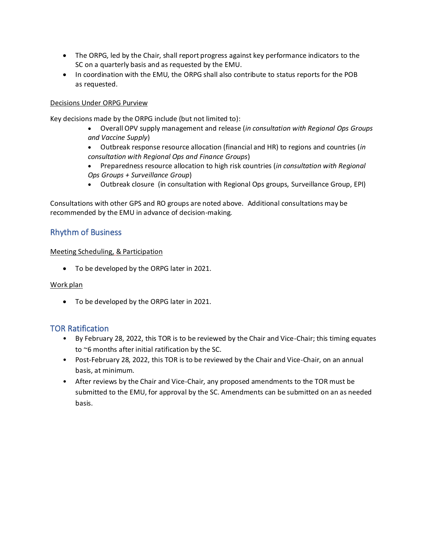- The ORPG, led by the Chair, shall report progress against key performance indicators to the SC on a quarterly basis and as requested by the EMU.
- In coordination with the EMU, the ORPG shall also contribute to status reports for the POB as requested.

# Decisions Under ORPG Purview

Key decisions made by the ORPG include (but not limited to):

- Overall OPV supply management and release (*in consultation with Regional Ops Groups and Vaccine Supply*)
- Outbreak response resource allocation (financial and HR) to regions and countries (*in consultation with Regional Ops and Finance Groups*)
- Preparedness resource allocation to high risk countries (*in consultation with Regional Ops Groups + Surveillance Group*)
- Outbreak closure (in consultation with Regional Ops groups, Surveillance Group, EPI)

Consultations with other GPS and RO groups are noted above. Additional consultations may be recommended by the EMU in advance of decision-making.

# Rhythm of Business

# Meeting Scheduling, & Participation

• To be developed by the ORPG later in 2021.

# Work plan

• To be developed by the ORPG later in 2021.

# TOR Ratification

- By February 28, 2022, this TOR is to be reviewed by the Chair and Vice-Chair; this timing equates to ~6 months after initial ratification by the SC.
- Post-February 28, 2022, this TOR is to be reviewed by the Chair and Vice-Chair, on an annual basis, at minimum.
- After reviews by the Chair and Vice-Chair, any proposed amendments to the TOR must be submitted to the EMU, for approval by the SC. Amendments can be submitted on an as needed basis.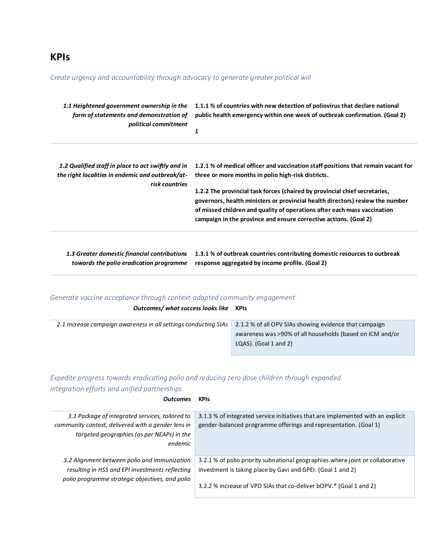# **KPIs**

### *Create urgency and accountability through advocacy to generate greater political will*

| 1.1 Heightened government ownership in the<br>form of statements and demonstration of<br>political commitment            | 1.1.1 % of countries with new detection of poliovirus that declare national<br>public health emergency within one week of outbreak confirmation. (Goal 2)<br>1                                                                                                                                                                                                                                                                                         |
|--------------------------------------------------------------------------------------------------------------------------|--------------------------------------------------------------------------------------------------------------------------------------------------------------------------------------------------------------------------------------------------------------------------------------------------------------------------------------------------------------------------------------------------------------------------------------------------------|
| 1.2 Qualified staff in place to act swiftly and in<br>the right localities in endemic and outbreak/at-<br>risk countries | 1.2.1 % of medical officer and vaccination staff positions that remain vacant for<br>three or more months in polio high-risk districts.<br>1.2.2 The provincial task forces (chaired by provincial chief secretaries,<br>governors, health ministers or provincial health directors) review the number<br>of missed children and quality of operations after each mass vaccination<br>campaign in the province and ensure corrective actions. (Goal 2) |
|                                                                                                                          |                                                                                                                                                                                                                                                                                                                                                                                                                                                        |

*1.3 Greater domestic financial contributions*  **1.3.1 % of outbreak countries contributing domestic resources to outbreak**  *towards the polio eradication programme* **response aggregated by income profile. (Goal 2)**

#### *Generate vaccine acceptance through context-adapted community engagement*

#### *Outcomes/ what success looks like* **KPIs**

| 2.1.2 % of all OPV SIAs showing evidence that campaign<br>2.1 Increase campaign awareness in all settings conducting SIAs |
|---------------------------------------------------------------------------------------------------------------------------|
| awareness was >90% of all households (based on ICM and/or                                                                 |
| $LQAS$ ). (Goal 1 and 2)                                                                                                  |
|                                                                                                                           |

# *Expedite progress towards eradicating polio and reducing zero dose children through expanded integration efforts and unified partnerships*

#### *Outcomes* **KPIs**

| 3.1 Package of integrated services, tailored to    | 3.1.3 % of integrated service initiatives that are implemented with an explicit |
|----------------------------------------------------|---------------------------------------------------------------------------------|
| community context, delivered with a gender lens in | gender-balanced programme offerings and representation. (Goal 1)                |
| targeted geographies (as per NEAPs) in the         |                                                                                 |
| endemic                                            |                                                                                 |
|                                                    |                                                                                 |
| 3.2 Alignment between polio and immunization       | 3.2.1 % of polio priority subnational geographies where joint or collaborative  |
| resulting in HSS and EPI investments reflecting    | investment is taking place by Gavi and GPEI. (Goal 1 and 2)                     |
| polio programme strategic objectives, and polio    |                                                                                 |
|                                                    | 3.2.2 % increase of VPD SIAs that co-deliver bOPV.* (Goal 1 and 2)              |